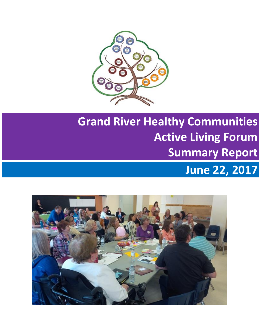

# **Grand River Healthy Communities Active Living Forum Summary Report June 22, 2017**

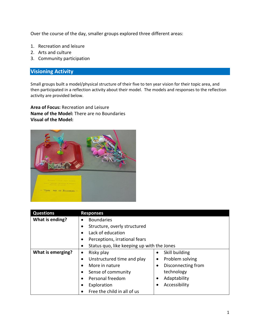Over the course of the day, smaller groups explored three different areas:

- 1. Recreation and leisure
- 2. Arts and culture
- 3. Community participation

# **Visioning Activity**

Small groups built a model/physical structure of their five to ten year vision for their topic area, and then participated in a reflection activity about their model. The models and responses to the reflection activity are provided below.

**Area of Focus:** Recreation and Leisure **Name of the Model:** There are no Boundaries **Visual of the Model:**



| <b>Questions</b>  | <b>Responses</b>                           |                            |  |  |
|-------------------|--------------------------------------------|----------------------------|--|--|
| What is ending?   | <b>Boundaries</b>                          |                            |  |  |
|                   | Structure, overly structured               |                            |  |  |
|                   | Lack of education                          |                            |  |  |
|                   | Perceptions, irrational fears              |                            |  |  |
|                   | Status quo, like keeping up with the Jones |                            |  |  |
| What is emerging? | Risky play<br>٠                            | Skill building<br>٠        |  |  |
|                   | Unstructured time and play                 | Problem solving<br>٠       |  |  |
|                   | More in nature                             | Disconnecting from<br>٠    |  |  |
|                   | Sense of community                         | technology                 |  |  |
|                   | Personal freedom                           | Adaptability<br>$\bullet$  |  |  |
|                   | Exploration                                | Accessibility<br>$\bullet$ |  |  |
|                   | Free the child in all of us                |                            |  |  |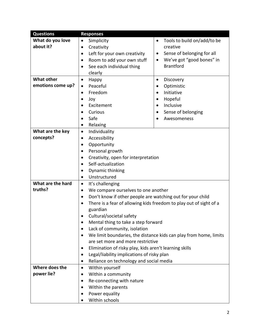| <b>Questions</b>  | <b>Responses</b>                                                  |                                                                    |  |  |  |  |
|-------------------|-------------------------------------------------------------------|--------------------------------------------------------------------|--|--|--|--|
| What do you love  | Simplicity<br>٠                                                   | Tools to build on/add/to be<br>٠                                   |  |  |  |  |
| about it?         | Creativity<br>٠                                                   | creative                                                           |  |  |  |  |
|                   | Left for your own creativity<br>٠                                 | Sense of belonging for all<br>$\bullet$                            |  |  |  |  |
|                   | Room to add your own stuff<br>$\bullet$                           | We've got "good bones" in<br>$\bullet$                             |  |  |  |  |
|                   | See each individual thing                                         | <b>Brantford</b>                                                   |  |  |  |  |
|                   | clearly                                                           |                                                                    |  |  |  |  |
| <b>What other</b> | Happy<br>٠                                                        | Discovery<br>$\bullet$                                             |  |  |  |  |
| emotions come up? | Peaceful<br>٠                                                     | Optimistic<br>$\bullet$                                            |  |  |  |  |
|                   | Freedom<br>$\bullet$                                              | Initiative<br>$\bullet$                                            |  |  |  |  |
|                   | Joy                                                               | Hopeful                                                            |  |  |  |  |
|                   | Excitement                                                        | Inclusive                                                          |  |  |  |  |
|                   | Curious                                                           | Sense of belonging                                                 |  |  |  |  |
|                   | Safe<br>٠                                                         | Awesomeness                                                        |  |  |  |  |
|                   | Relaxing<br>٠                                                     |                                                                    |  |  |  |  |
| What are the key  | Individuality<br>$\bullet$                                        |                                                                    |  |  |  |  |
| concepts?         | Accessibility<br>٠                                                |                                                                    |  |  |  |  |
|                   | Opportunity<br>٠                                                  |                                                                    |  |  |  |  |
|                   | Personal growth                                                   |                                                                    |  |  |  |  |
|                   | Creativity, open for interpretation                               |                                                                    |  |  |  |  |
|                   | Self-actualization                                                |                                                                    |  |  |  |  |
|                   | Dynamic thinking                                                  |                                                                    |  |  |  |  |
|                   | Unstructured<br>$\bullet$                                         |                                                                    |  |  |  |  |
| What are the hard | It's challenging<br>$\bullet$                                     |                                                                    |  |  |  |  |
| truths?           | We compare ourselves to one another                               |                                                                    |  |  |  |  |
|                   | Don't know if other people are watching out for your child        |                                                                    |  |  |  |  |
|                   | ٠                                                                 | There is a fear of allowing kids freedom to play out of sight of a |  |  |  |  |
|                   | guardian                                                          |                                                                    |  |  |  |  |
|                   | Cultural/societal safety<br>٠                                     |                                                                    |  |  |  |  |
|                   | Mental thing to take a step forward                               |                                                                    |  |  |  |  |
|                   | Lack of community, isolation                                      |                                                                    |  |  |  |  |
|                   | We limit boundaries, the distance kids can play from home, limits |                                                                    |  |  |  |  |
|                   | are set more and more restrictive                                 |                                                                    |  |  |  |  |
|                   |                                                                   | Elimination of risky play, kids aren't learning skills             |  |  |  |  |
|                   | Legal/liability implications of risky plan<br>$\bullet$           |                                                                    |  |  |  |  |
|                   | Reliance on technology and social media<br>٠                      |                                                                    |  |  |  |  |
| Where does the    | Within yourself<br>٠                                              |                                                                    |  |  |  |  |
| power lie?        | Within a community<br>٠                                           |                                                                    |  |  |  |  |
|                   | Re-connecting with nature                                         |                                                                    |  |  |  |  |
|                   | Within the parents                                                |                                                                    |  |  |  |  |
|                   | Power equality                                                    |                                                                    |  |  |  |  |
|                   | Within schools                                                    |                                                                    |  |  |  |  |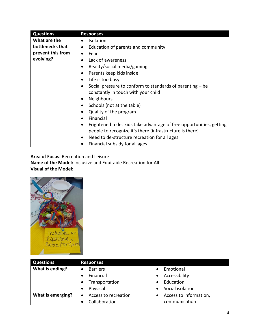| <b>Questions</b>  | <b>Responses</b>                                                                                                                              |
|-------------------|-----------------------------------------------------------------------------------------------------------------------------------------------|
| What are the      | <b>Isolation</b><br>$\bullet$                                                                                                                 |
| bottlenecks that  | Education of parents and community<br>٠                                                                                                       |
| prevent this from | Fear<br>$\bullet$                                                                                                                             |
| evolving?         | Lack of awareness<br>$\bullet$                                                                                                                |
|                   | Reality/social media/gaming<br>٠                                                                                                              |
|                   | Parents keep kids inside<br>$\bullet$                                                                                                         |
|                   | Life is too busy<br>$\bullet$                                                                                                                 |
|                   | Social pressure to conform to standards of parenting – be<br>$\bullet$                                                                        |
|                   | constantly in touch with your child                                                                                                           |
|                   | <b>Neighbours</b><br>٠                                                                                                                        |
|                   | Schools (not at the table)<br>$\bullet$                                                                                                       |
|                   | Quality of the program<br>$\bullet$                                                                                                           |
|                   | Financial<br>$\bullet$                                                                                                                        |
|                   | Frightened to let kids take advantage of free opportunities, getting<br>$\bullet$<br>people to recognize it's there (infrastructure is there) |
|                   | Need to de-structure recreation for all ages<br>٠                                                                                             |
|                   | Financial subsidy for all ages                                                                                                                |

## **Area of Focus:** Recreation and Leisure **Name of the Model:** Inclusive and Equitable Recreation for All **Visual of the Model:**



| <b>Questions</b>  | <b>Responses</b>     |                        |  |  |  |
|-------------------|----------------------|------------------------|--|--|--|
| What is ending?   | <b>Barriers</b>      | Emotional              |  |  |  |
|                   | Financial            | Accessibility          |  |  |  |
|                   | Transportation       | Education              |  |  |  |
|                   | Physical             | Social isolation       |  |  |  |
| What is emerging? | Access to recreation | Access to information, |  |  |  |
|                   | Collaboration        | communication          |  |  |  |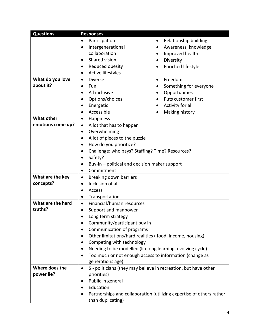| <b>Questions</b>  | <b>Responses</b>                                                                  |                                                         |  |  |  |  |
|-------------------|-----------------------------------------------------------------------------------|---------------------------------------------------------|--|--|--|--|
|                   | Participation                                                                     | Relationship building<br>٠                              |  |  |  |  |
|                   | Intergenerational                                                                 | Awareness, knowledge<br>$\bullet$                       |  |  |  |  |
|                   | collaboration                                                                     | Improved health<br>$\bullet$                            |  |  |  |  |
|                   | Shared vision<br>$\bullet$                                                        | Diversity<br>$\bullet$                                  |  |  |  |  |
|                   | Reduced obesity<br>$\bullet$                                                      | Enriched lifestyle                                      |  |  |  |  |
|                   | Active lifestyles                                                                 |                                                         |  |  |  |  |
| What do you love  | <b>Diverse</b><br>$\bullet$                                                       | Freedom<br>$\bullet$                                    |  |  |  |  |
| about it?         | Fun<br>$\bullet$                                                                  | Something for everyone<br>٠                             |  |  |  |  |
|                   | All inclusive<br>$\bullet$                                                        | Opportunities<br>$\bullet$                              |  |  |  |  |
|                   | Options/choices<br>$\bullet$                                                      | Puts customer first<br>$\bullet$                        |  |  |  |  |
|                   | Energetic<br>$\bullet$                                                            | Activity for all                                        |  |  |  |  |
|                   | Accessible<br>$\bullet$                                                           | Making history                                          |  |  |  |  |
| <b>What other</b> | <b>Happiness</b><br>$\bullet$                                                     |                                                         |  |  |  |  |
| emotions come up? | A lot that has to happen<br>$\bullet$                                             |                                                         |  |  |  |  |
|                   | Overwhelming                                                                      |                                                         |  |  |  |  |
|                   | A lot of pieces to the puzzle<br>$\bullet$                                        |                                                         |  |  |  |  |
|                   | How do you prioritize?                                                            |                                                         |  |  |  |  |
|                   | $\bullet$                                                                         | Challenge: who pays? Staffing? Time? Resources?         |  |  |  |  |
|                   | Safety?                                                                           |                                                         |  |  |  |  |
|                   | Buy-in – political and decision maker support                                     |                                                         |  |  |  |  |
|                   | Commitment<br>$\bullet$                                                           |                                                         |  |  |  |  |
| What are the key  | Breaking down barriers<br>$\bullet$                                               |                                                         |  |  |  |  |
| concepts?         | Inclusion of all<br>$\bullet$                                                     |                                                         |  |  |  |  |
|                   | Access                                                                            |                                                         |  |  |  |  |
|                   | Transportation<br>$\bullet$                                                       |                                                         |  |  |  |  |
| What are the hard | Financial/human resources<br>$\bullet$                                            |                                                         |  |  |  |  |
| truths?           | Support and manpower<br>$\bullet$                                                 |                                                         |  |  |  |  |
|                   | Long term strategy                                                                |                                                         |  |  |  |  |
|                   | Community/participant buy in                                                      |                                                         |  |  |  |  |
|                   | Communication of programs                                                         |                                                         |  |  |  |  |
|                   | Other limitations/hard realities (food, income, housing)                          |                                                         |  |  |  |  |
|                   | Competing with technology                                                         |                                                         |  |  |  |  |
|                   | Needing to be modelled (lifelong learning, evolving cycle)                        |                                                         |  |  |  |  |
|                   | $\bullet$                                                                         | Too much or not enough access to information (change as |  |  |  |  |
|                   | generations age)                                                                  |                                                         |  |  |  |  |
| Where does the    | \$ - politicians (they may believe in recreation, but have other<br>$\bullet$     |                                                         |  |  |  |  |
| power lie?        | priorities)                                                                       |                                                         |  |  |  |  |
|                   | Public in general                                                                 |                                                         |  |  |  |  |
|                   | Education<br>$\bullet$                                                            |                                                         |  |  |  |  |
|                   | Partnerships and collaboration (utilizing expertise of others rather<br>$\bullet$ |                                                         |  |  |  |  |
|                   | than duplicating)                                                                 |                                                         |  |  |  |  |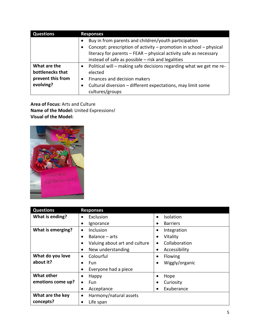| <b>Questions</b>  | <b>Responses</b>                                                                 |  |  |
|-------------------|----------------------------------------------------------------------------------|--|--|
|                   | Buy in from parents and children/youth participation<br>$\bullet$                |  |  |
|                   | Concept: prescription of activity - promotion in school - physical<br>٠          |  |  |
|                   | literacy for parents - FEAR - physical activity safe as necessary                |  |  |
|                   | instead of safe as possible - risk and legalities                                |  |  |
| What are the      | Political will – making safe decisions regarding what we get me re-<br>$\bullet$ |  |  |
| bottlenecks that  | elected                                                                          |  |  |
| prevent this from | Finances and decision makers<br>$\bullet$                                        |  |  |
| evolving?         | Cultural diversion – different expectations, may limit some                      |  |  |
|                   | cultures/groups                                                                  |  |  |

**Area of Focus:** Arts and Culture **Name of the Model:** United Expressions! **Visual of the Model:**



| <b>Questions</b>  | <b>Responses</b>                   |                            |  |  |  |
|-------------------|------------------------------------|----------------------------|--|--|--|
| What is ending?   | Exclusion<br>$\bullet$             | Isolation<br>$\bullet$     |  |  |  |
|                   | Ignorance                          | <b>Barriers</b>            |  |  |  |
| What is emerging? | Inclusion<br>$\bullet$             | Integration<br>$\bullet$   |  |  |  |
|                   | Balance – arts                     | Vitality<br>$\bullet$      |  |  |  |
|                   | Valuing about art and culture<br>٠ | Collaboration<br>$\bullet$ |  |  |  |
|                   | New understanding<br>٠             | Accessibility<br>٠         |  |  |  |
| What do you love  | Colourful<br>$\bullet$             | Flowing<br>٠               |  |  |  |
| about it?         | Fun                                | Wiggly/organic<br>٠        |  |  |  |
|                   | Everyone had a piece               |                            |  |  |  |
| <b>What other</b> | Happy<br>٠                         | Hope                       |  |  |  |
| emotions come up? | Fun<br>$\bullet$                   | Curiosity<br>٠             |  |  |  |
|                   | Acceptance<br>٠                    | Exuberance                 |  |  |  |
| What are the key  | Harmony/natural assets<br>٠        |                            |  |  |  |
| concepts?         | Life span                          |                            |  |  |  |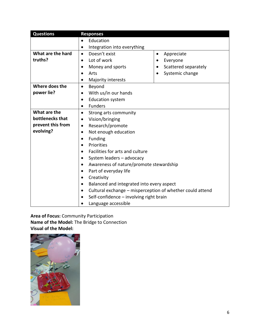| <b>Questions</b>  | <b>Responses</b>                                                       |                      |  |  |  |  |  |
|-------------------|------------------------------------------------------------------------|----------------------|--|--|--|--|--|
|                   | Education<br>$\bullet$                                                 |                      |  |  |  |  |  |
|                   | Integration into everything<br>$\bullet$                               |                      |  |  |  |  |  |
| What are the hard | Doesn't exist<br>Appreciate<br>$\bullet$<br>٠                          |                      |  |  |  |  |  |
| truths?           | Lot of work<br>$\bullet$                                               | Everyone             |  |  |  |  |  |
|                   | Money and sports<br>$\bullet$                                          | Scattered separately |  |  |  |  |  |
|                   | Arts                                                                   | Systemic change      |  |  |  |  |  |
|                   | Majority interests<br>$\bullet$                                        |                      |  |  |  |  |  |
| Where does the    | Beyond<br>$\bullet$                                                    |                      |  |  |  |  |  |
| power lie?        | With us/in our hands<br>$\bullet$                                      |                      |  |  |  |  |  |
|                   | <b>Education system</b><br>$\bullet$                                   |                      |  |  |  |  |  |
|                   | <b>Funders</b><br>$\bullet$                                            |                      |  |  |  |  |  |
| What are the      | Strong arts community<br>$\bullet$                                     |                      |  |  |  |  |  |
| bottlenecks that  | Vision/bringing<br>$\bullet$                                           |                      |  |  |  |  |  |
| prevent this from | Research/promote<br>$\bullet$                                          |                      |  |  |  |  |  |
| evolving?         | Not enough education<br>$\bullet$                                      |                      |  |  |  |  |  |
|                   | Funding<br>$\bullet$                                                   |                      |  |  |  |  |  |
|                   | Priorities<br>$\bullet$                                                |                      |  |  |  |  |  |
|                   | Facilities for arts and culture<br>$\bullet$                           |                      |  |  |  |  |  |
|                   | System leaders - advocacy<br>$\bullet$                                 |                      |  |  |  |  |  |
|                   | Awareness of nature/promote stewardship<br>$\bullet$                   |                      |  |  |  |  |  |
|                   | Part of everyday life<br>$\bullet$                                     |                      |  |  |  |  |  |
|                   | Creativity<br>$\bullet$                                                |                      |  |  |  |  |  |
|                   | Balanced and integrated into every aspect<br>$\bullet$                 |                      |  |  |  |  |  |
|                   | Cultural exchange - misperception of whether could attend<br>$\bullet$ |                      |  |  |  |  |  |
|                   | Self-confidence - involving right brain                                |                      |  |  |  |  |  |
|                   | Language accessible                                                    |                      |  |  |  |  |  |

## **Area of Focus:** Community Participation **Name of the Model:** The Bridge to Connection **Visual of the Model:**

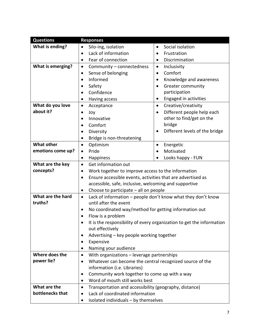| <b>Questions</b>  | <b>Responses</b>                                                          |                                                                       |  |  |  |  |  |
|-------------------|---------------------------------------------------------------------------|-----------------------------------------------------------------------|--|--|--|--|--|
| What is ending?   | Silo-ing, isolation<br>$\bullet$                                          | Social isolation<br>$\bullet$                                         |  |  |  |  |  |
|                   | Lack of information                                                       | Frustration                                                           |  |  |  |  |  |
|                   | Fear of connection<br>$\bullet$                                           | Discrimination<br>$\bullet$                                           |  |  |  |  |  |
| What is emerging? | Community - connectedness<br>$\bullet$                                    | Inclusivity<br>$\bullet$                                              |  |  |  |  |  |
|                   | Sense of belonging<br>$\bullet$                                           | Comfort<br>$\bullet$                                                  |  |  |  |  |  |
|                   | Informed                                                                  | Knowledge and awareness<br>$\bullet$                                  |  |  |  |  |  |
|                   | Safety                                                                    | Greater community<br>$\bullet$                                        |  |  |  |  |  |
|                   | Confidence                                                                | participation                                                         |  |  |  |  |  |
|                   | Having access<br>٠                                                        | <b>Engaged in activities</b><br>$\bullet$                             |  |  |  |  |  |
| What do you love  | Acceptance<br>$\bullet$                                                   | Creative/creativity<br>$\bullet$                                      |  |  |  |  |  |
| about it?         | Joy                                                                       | Different people help each<br>$\bullet$                               |  |  |  |  |  |
|                   | Innovative<br>$\bullet$                                                   | other to find/get on the                                              |  |  |  |  |  |
|                   | Comfort                                                                   | bridge                                                                |  |  |  |  |  |
|                   | Diversity<br>$\bullet$                                                    | Different levels of the bridge<br>$\bullet$                           |  |  |  |  |  |
|                   | Bridge is non-threatening                                                 |                                                                       |  |  |  |  |  |
| <b>What other</b> | Optimism<br>٠                                                             | Energetic<br>$\bullet$                                                |  |  |  |  |  |
| emotions come up? | Pride<br>$\bullet$                                                        | Motivated                                                             |  |  |  |  |  |
|                   | Looks happy - FUN<br>Happiness<br>$\bullet$                               |                                                                       |  |  |  |  |  |
| What are the key  | Get information out<br>$\bullet$                                          |                                                                       |  |  |  |  |  |
| concepts?         | Work together to improve access to the information                        |                                                                       |  |  |  |  |  |
|                   | Ensure accessible events, activities that are advertised as               |                                                                       |  |  |  |  |  |
|                   | accessible, safe, inclusive, welcoming and supportive                     |                                                                       |  |  |  |  |  |
|                   | Choose to participate – all on people                                     |                                                                       |  |  |  |  |  |
| What are the hard | Lack of information – people don't know what they don't know<br>$\bullet$ |                                                                       |  |  |  |  |  |
| truths?           | until after the event                                                     |                                                                       |  |  |  |  |  |
|                   | No coordinated way/method for getting information out                     |                                                                       |  |  |  |  |  |
|                   | ٠                                                                         | Flow is a problem                                                     |  |  |  |  |  |
|                   |                                                                           | It is the responsibility of every organization to get the information |  |  |  |  |  |
|                   | out effectively                                                           |                                                                       |  |  |  |  |  |
|                   | Advertising - key people working together<br>٠<br>٠                       |                                                                       |  |  |  |  |  |
|                   | Naming your audience                                                      | Expensive                                                             |  |  |  |  |  |
| Where does the    | With organizations - leverage partnerships<br>٠                           |                                                                       |  |  |  |  |  |
| power lie?        | Whatever can become the central recognized source of the<br>٠             |                                                                       |  |  |  |  |  |
|                   | information (i.e. Libraries)                                              |                                                                       |  |  |  |  |  |
|                   | Community work together to come up with a way<br>٠                        |                                                                       |  |  |  |  |  |
|                   | Word of mouth still works best<br>$\bullet$                               |                                                                       |  |  |  |  |  |
| What are the      | Transportation and accessibility (geography, distance)<br>$\bullet$       |                                                                       |  |  |  |  |  |
| bottlenecks that  | Lack of coordinated information<br>$\bullet$                              |                                                                       |  |  |  |  |  |
|                   | Isolated individuals - by themselves<br>٠                                 |                                                                       |  |  |  |  |  |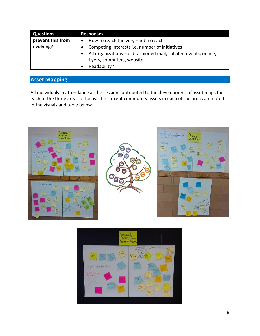| <b>Questions</b>  | <b>Responses</b>                                                 |  |  |
|-------------------|------------------------------------------------------------------|--|--|
| prevent this from | How to reach the very hard to reach                              |  |  |
| evolving?         | Competing interests i.e. number of initiatives                   |  |  |
|                   | All organizations - old fashioned mail, collated events, online, |  |  |
|                   | flyers, computers, website                                       |  |  |
|                   | Readability?                                                     |  |  |

# **Asset Mapping**

All individuals in attendance at the session contributed to the development of asset maps for each of the three areas of focus. The current community assets in each of the areas are noted in the visuals and table below.







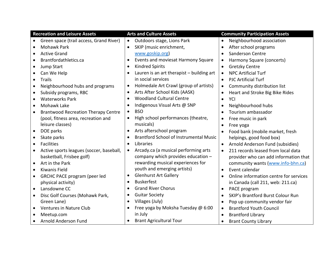| <b>Recreation and Leisure Assets</b>                  | <b>Arts and Culture Assets</b>                    | <b>Community Participation Assets</b>                 |
|-------------------------------------------------------|---------------------------------------------------|-------------------------------------------------------|
| Green space (trail access, Grand River)<br>$\bullet$  | Outdoors stage, Lions Park<br>$\bullet$           | Neighbourhood association<br>$\bullet$                |
| <b>Mohawk Park</b>                                    | SKIP (music enrichment,<br>$\bullet$              | After school programs<br>$\bullet$                    |
| <b>Active Grand</b>                                   | www.goskip.org)                                   | Sanderson Centre<br>$\bullet$                         |
| Brantfordathletics.ca<br>$\bullet$                    | Events and moviesat Harmony Square<br>$\bullet$   | Harmony Square (concerts)<br>$\bullet$                |
| Jump Start<br>$\bullet$                               | <b>Kindred Spirits</b><br>$\bullet$               | <b>Gretzky Centre</b><br>$\bullet$                    |
| Can We Help                                           | Lauren is an art therapist - building art         | <b>NPC Artificial Turf</b><br>$\bullet$               |
| <b>Trails</b><br>$\bullet$                            | in social services                                | <b>PJC Artificial Turf</b><br>$\bullet$               |
| Neighbourhood hubs and programs                       | Holmedale Art Crawl (group of artists)            | Community distribution list<br>$\bullet$              |
| Subsidy programs, RBC<br>$\bullet$                    | Arts After School Kids (AASK)<br>$\bullet$        | Heart and Stroke Big Bike Rides<br>$\bullet$          |
| <b>Waterworks Park</b><br>$\bullet$                   | <b>Woodland Cultural Centre</b><br>$\bullet$      | YCI<br>$\bullet$                                      |
| Mohawk Lake<br>$\bullet$                              | Indigenous Visual Arts @ SNP<br>$\bullet$         | Neighbourhood hubs<br>$\bullet$                       |
| <b>Brantwood Recreation Therapy Centre</b>            | <b>BSO</b><br>$\bullet$                           | Tourism ambassador<br>$\bullet$                       |
| (pool, fitness area, recreation and                   | High school performances (theatre,<br>$\bullet$   | Free music in park<br>$\bullet$                       |
| leisure classes)                                      | musicals)                                         | Free yoga<br>$\bullet$                                |
| DOE parks<br>$\bullet$                                | Arts afterschool program<br>$\bullet$             | Food bank (mobile market, fresh<br>$\bullet$          |
| Skate parks<br>$\bullet$                              | <b>Brantford School of Instrumental Music</b>     | helpings, good food box)                              |
| <b>Facilities</b><br>$\bullet$                        | Libraries<br>$\bullet$                            | Arnold Anderson Fund (subsidies)<br>$\bullet$         |
| Active sports leagues (soccer, baseball,<br>$\bullet$ | Arcady.ca (a musical performing arts<br>$\bullet$ | 211 records leased from local data<br>$\bullet$       |
| basketball, Frisbee golf)                             | company which provides education -                | provider who can add information that                 |
| Art in the Park<br>$\bullet$                          | rewarding musical experiences for                 | community wants (www.info-bhn.ca)                     |
| Kiwanis Field<br>$\bullet$                            | youth and emerging artists)                       | Event calendar<br>$\bullet$                           |
| <b>GRCHC PACE program (peer led</b><br>$\bullet$      | <b>Glenhurst Art Gallery</b><br>$\bullet$         | Online information centre for services<br>$\bullet$   |
| physical activity)                                    | <b>Buskerfest</b><br>$\bullet$                    | in Canada (call 211, web: 211.ca)                     |
| Lansdowne CC<br>$\bullet$                             | <b>Grand River Chorus</b><br>$\bullet$            | PACE program<br>$\bullet$                             |
| Disc Golf Courses (Mohawk Park,<br>$\bullet$          | <b>Guitar Society</b><br>$\bullet$                | <b>SKIP's Brantford Burst Colour Run</b><br>$\bullet$ |
| Green Lane)                                           | Villages (July)<br>$\bullet$                      | Pop up community vendor fair<br>$\bullet$             |
| Ventures in Nature Club<br>$\bullet$                  | Free yoga by Moksha Tuesday @ 6:00<br>$\bullet$   | <b>Brantford Youth Council</b><br>$\bullet$           |
| Meetup.com                                            | in July                                           | <b>Brantford Library</b><br>$\bullet$                 |
| Arnold Anderson Fund<br>$\bullet$                     | <b>Brant Agricultural Tour</b>                    | <b>Brant County Library</b><br>$\bullet$              |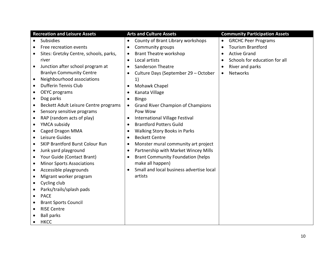|           | <b>Recreation and Leisure Assets</b>   |           | <b>Arts and Culture Assets</b>           |           | <b>Community Participation Assets</b> |
|-----------|----------------------------------------|-----------|------------------------------------------|-----------|---------------------------------------|
| $\bullet$ | <b>Subsidies</b>                       | $\bullet$ | County of Brant Library workshops        | $\bullet$ | <b>GRCHC Peer Programs</b>            |
|           | Free recreation events                 | $\bullet$ | Community groups                         | $\bullet$ | <b>Tourism Brantford</b>              |
|           | Sites: Gretzky Centre, schools, parks, | $\bullet$ | <b>Brant Theatre workshop</b>            |           | <b>Active Grand</b>                   |
|           | river                                  | $\bullet$ | Local artists                            |           | Schools for education for all         |
| $\bullet$ | Junction after school program at       | $\bullet$ | <b>Sanderson Theatre</b>                 |           | River and parks                       |
|           | <b>Branlyn Community Centre</b>        |           | Culture Days (September 29 - October     | $\bullet$ | <b>Networks</b>                       |
| $\bullet$ | Neighbourhood associations             |           | 1)                                       |           |                                       |
|           | Dufferin Tennis Club                   | $\bullet$ | Mohawk Chapel                            |           |                                       |
| ٠         | <b>OEYC</b> programs                   |           | Kanata Village                           |           |                                       |
| $\bullet$ | Dog parks                              | $\bullet$ | <b>Bingo</b>                             |           |                                       |
| ٠         | Beckett Adult Leisure Centre programs  | $\bullet$ | <b>Grand River Champion of Champions</b> |           |                                       |
| $\bullet$ | Sensory sensitive programs             |           | Pow Wow                                  |           |                                       |
| $\bullet$ | RAP (random acts of play)              | $\bullet$ | International Village Festival           |           |                                       |
| $\bullet$ | YMCA subsidy                           | $\bullet$ | <b>Brantford Potters Guild</b>           |           |                                       |
| ٠         | <b>Caged Dragon MMA</b>                | $\bullet$ | Walking Story Books in Parks             |           |                                       |
|           | Leisure Guides                         | $\bullet$ | <b>Beckett Centre</b>                    |           |                                       |
| $\bullet$ | <b>SKIP Brantford Burst Colour Run</b> | $\bullet$ | Monster mural community art project      |           |                                       |
| ٠         | Junk yard playground                   | $\bullet$ | Partnership with Market Wincey Mills     |           |                                       |
| ٠         | Your Guide (Contact Brant)             | $\bullet$ | <b>Brant Community Foundation (helps</b> |           |                                       |
| $\bullet$ | <b>Minor Sports Associations</b>       |           | make all happen)                         |           |                                       |
|           | Accessible playgrounds                 | $\bullet$ | Small and local business advertise local |           |                                       |
|           | Migrant worker program                 |           | artists                                  |           |                                       |
| $\bullet$ | Cycling club                           |           |                                          |           |                                       |
|           | Parks/trails/splash pads               |           |                                          |           |                                       |
| $\bullet$ | <b>PACE</b>                            |           |                                          |           |                                       |
|           | <b>Brant Sports Council</b>            |           |                                          |           |                                       |
| $\bullet$ | <b>RISE Centre</b>                     |           |                                          |           |                                       |
|           | <b>Ball parks</b>                      |           |                                          |           |                                       |
| $\bullet$ | <b>HKCC</b>                            |           |                                          |           |                                       |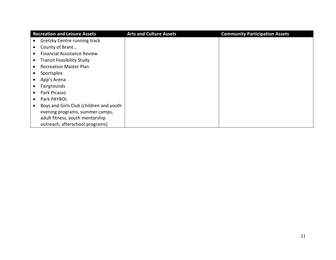| <b>Recreation and Leisure Assets</b>    | <b>Arts and Culture Assets</b> | <b>Community Participation Assets</b> |
|-----------------------------------------|--------------------------------|---------------------------------------|
| Gretzky Centre running track            |                                |                                       |
| County of Brant                         |                                |                                       |
| <b>Financial Assistance Review</b>      |                                |                                       |
| <b>Transit Feasibility Study</b>        |                                |                                       |
| <b>Recreation Master Plan</b>           |                                |                                       |
| Sportsplex                              |                                |                                       |
| App's Arena                             |                                |                                       |
| Fairgrounds                             |                                |                                       |
| Park Picasso                            |                                |                                       |
| Park PAYROL                             |                                |                                       |
| Boys and Girls Club (children and youth |                                |                                       |
| evening programs, summer camps,         |                                |                                       |
| adult fitness, youth mentorship         |                                |                                       |
| outreach, afterschool programs)         |                                |                                       |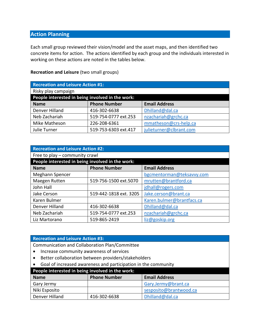### **Action Planning**

Each small group reviewed their vision/model and the asset maps, and then identified two concrete items for action. The actions identified by each group and the individuals interested in working on these actions are noted in the tables below.

#### **Recreation and Leisure** (two small groups)

| <b>Recreation and Leisure Action #1:</b>         |                      |                         |  |
|--------------------------------------------------|----------------------|-------------------------|--|
| Risky play campaign                              |                      |                         |  |
| People interested in being involved in the work: |                      |                         |  |
| <b>Phone Number</b><br><b>Name</b>               |                      | <b>Email Address</b>    |  |
| Denver Hilland                                   | 416-302-6638         | Dhilland@dal.ca         |  |
| Neb Zachariah                                    | 519-754-0777 ext.253 | nzachariah@grchc.ca     |  |
| Mike Matheson                                    | 226-208-6361         | mmatheson@crs-help.ca   |  |
| Julie Turner                                     | 519-753-6303 ext.417 | julieturner@clbrant.com |  |

| <b>Recreation and Leisure Action #2:</b>         |                        |                           |  |
|--------------------------------------------------|------------------------|---------------------------|--|
| Free to play – community crawl                   |                        |                           |  |
| People interested in being involved in the work: |                        |                           |  |
| <b>Phone Number</b><br><b>Name</b>               |                        | <b>Email Address</b>      |  |
| Meghann Spencer                                  |                        | bgcmentorman@teksavvy.com |  |
| Maegen Rutten                                    | 519-756-1500 ext.5070  | mrutten@brantford.ca      |  |
| John Hall                                        |                        | jdhall@rogers.com         |  |
| Jake Cerson                                      | 519-442-1818 ext. 3205 | Jake.cerson@brant.ca      |  |
| Karen Bulmer                                     |                        | Karen.bulmer@brantfacs.ca |  |
| Denver Hilland                                   | 416-302-6638           | Dhilland@dal.ca           |  |
| Neb Zachariah<br>519-754-0777 ext.253            |                        | nzachariah@grchc.ca       |  |
| Liz Martorano                                    | 519-865-2419           | liz@goskip.org            |  |

#### **Recreation and Leisure Action #3:**

Communication and Collaboration Plan/Committee

- Increase community awareness of services
- Better collaboration between providers/stakeholders
- Goal of increased awareness and participation in the community

| People interested in being involved in the work: |                     |                        |
|--------------------------------------------------|---------------------|------------------------|
| Name                                             | <b>Phone Number</b> | <b>Email Address</b>   |
| Gary Jermy                                       |                     | Gary.Jermy@brant.ca    |
| Niki Esposito                                    |                     | sesposito@brantwood.ca |
| Denver Hilland                                   | 416-302-6638        | Dhilland@dal.ca        |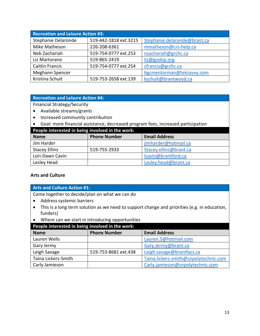| <b>Recreation and Leisure Action #3:</b>     |                      |                              |  |
|----------------------------------------------|----------------------|------------------------------|--|
| 519-442-1818 ext.3215<br>Stephanie Delaronde |                      | Stephanie.delaronde@brant.ca |  |
| Mike Matheson                                | 226-208-6361         | mmatheson@crs-help.ca        |  |
| Neb Zachariah                                | 519-754-0777 ext.253 | nzachariah@grchc.ca          |  |
| Liz Martorano                                | 519-865-2419         | liz@goskip.org               |  |
| <b>Caitlin Francis</b>                       | 519-754-0777 ext.254 | cfrancis@grchc.ca            |  |
| Meghann Spencer                              |                      | bgcmentorman@teksavvy.com    |  |
| Kristina Schuit                              | 519-753-2658 ext.139 | kschuit@brantwood.ca         |  |

#### **Recreation and Leisure Action #4:**

Financial Strategy/Security

- Available streams/grants
- Increased community contribution
- Goal: more financial assistance, decreased program fees, increased participation

| People interested in being involved in the work: |                     |                        |  |
|--------------------------------------------------|---------------------|------------------------|--|
| <b>Name</b>                                      | <b>Phone Number</b> | <b>Email Address</b>   |  |
| Jim Harder                                       |                     | jimharder@hotmail.ca   |  |
| <b>Stacey Ellins</b>                             | 519-755-2933        | Stacey.ellins@brant.ca |  |
| Lori-Dawn Cavin                                  |                     | lcavin@brantford.ca    |  |
| Lesley Head                                      |                     | Lesley.head@brant.ca   |  |

#### **Arts and Culture**

**Arts and Culture Action #1:**

Come together to decide/plan on what we can do

- Address systemic barriers
- This is a long term solution as we need to support change and priorities (e.g. in education, funders)
- Where can we start in introducing opportunities

| People interested in being involved in the work: |                      |                                       |
|--------------------------------------------------|----------------------|---------------------------------------|
| <b>Name</b>                                      | <b>Phone Number</b>  | <b>Email Address</b>                  |
| Lauren Wells                                     |                      | Lauren.5@hotmail.com                  |
| Gary Jermy                                       |                      | Gary.Jermy@brant.ca                   |
| Leigh Savage                                     | 519-753-8681 ext.438 | Leigh.savage@brantfacs.ca             |
| Taina Lickers-Smith                              |                      | Taina.lickers-smith@snpolytechnic.com |
| Carly Jamieson                                   |                      | Carly.jamieson@snpolytechnic.com      |
|                                                  |                      |                                       |